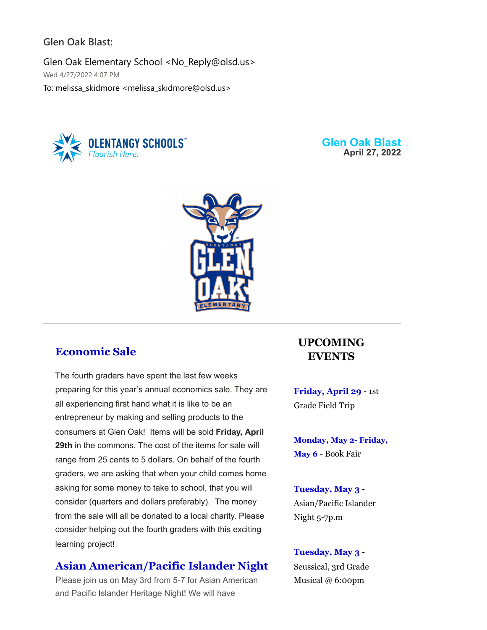#### **Glen Oak Blast:**

Glen Oak Elementary School <No\_Reply@olsd.us> Wed 4/27/2022 4:07 PM To: melissa\_skidmore <melissa\_skidmore@olsd.us>



**Glen Oak Blast April 27, 2022**



#### **Economic Sale**

The fourth graders have spent the last few weeks preparing for this year's annual economics sale. They are all experiencing first hand what it is like to be an entrepreneur by making and selling products to the consumers at Glen Oak! Items will be sold **Friday, April 29th** in the commons. The cost of the items for sale will range from 25 cents to 5 dollars. On behalf of the fourth graders, we are asking that when your child comes home asking for some money to take to school, that you will consider (quarters and dollars preferably). The money from the sale will all be donated to a local charity. Please consider helping out the fourth graders with this exciting learning project!

#### **Asian American/Pacific Islander Night**

Please join us on May 3rd from 5-7 for Asian American and Pacific Islander Heritage Night! We will have

## **UPCOMING EVENTS**

**Friday, April 29** - 1st Grade Field Trip

**Monday, May 2- Friday, May 6** - Book Fair

**Tuesday, May 3** - Asian/Pacific Islander Night 5-7p.m

**Tuesday, May 3** - Seussical, 3rd Grade Musical @ 6:00pm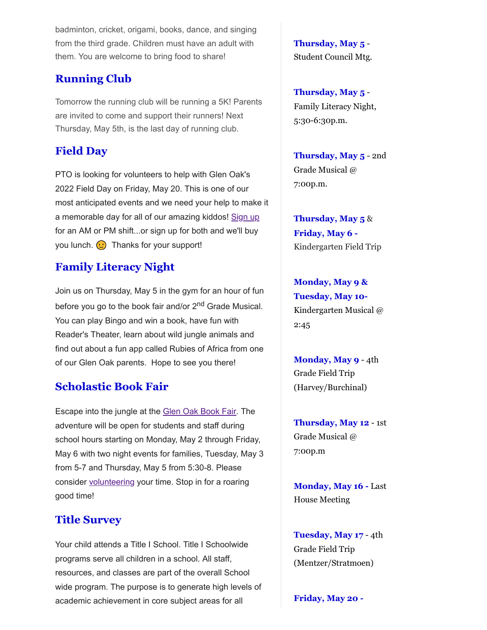badminton, cricket, origami, books, dance, and singing from the third grade. Children must have an adult with them. You are welcome to bring food to share!

#### **Running Club**

Tomorrow the running club will be running a 5K! Parents are invited to come and support their runners! Next Thursday, May 5th, is the last day of running club.

#### **Field Day**

PTO is looking for volunteers to help with Glen Oak's 2022 Field Day on Friday, May 20. This is one of our most anticipated events and we need your help to make it a memorable day for all of our amazing kiddos! [Sign up](https://www.signupgenius.com/go/4090a4bafaa22a6fb6-20221) for an AM or PM shift...or sign up for both and we'll buy you lunch.  $\odot$  Thanks for your support!

## **Family Literacy Night**

Join us on Thursday, May 5 in the gym for an hour of fun before you go to the book fair and/or 2<sup>nd</sup> Grade Musical. You can play Bingo and win a book, have fun with Reader's Theater, learn about wild jungle animals and find out about a fun app called Rubies of Africa from one of our Glen Oak parents. Hope to see you there!

#### **Scholastic Book Fair**

Escape into the jungle at the [Glen Oak Book Fair.](https://bookfairs.scholastic.com/bookfairs/cptoolkit/homepage.do?method=homepage&url=glenoakelementaryschool) The adventure will be open for students and staff during school hours starting on Monday, May 2 through Friday, May 6 with two night events for families, Tuesday, May 3 from 5-7 and Thursday, May 5 from 5:30-8. Please consider [volunteering](https://volunteer.scholastic.com/#/experience/login/iPH6GZtxY) your time. Stop in for a roaring good time!

#### **Title Survey**

Your child attends a Title I School. Title I Schoolwide programs serve all children in a school. All staff, resources, and classes are part of the overall School wide program. The purpose is to generate high levels of academic achievement in core subject areas for all

**Thursday, May 5** - Student Council Mtg.

**Thursday, May 5** - Family Literacy Night, 5:30-6:30p.m.

**Thursday, May 5** - 2nd Grade Musical @ 7:00p.m.

**Thursday, May 5** & **Friday, May 6 -** Kindergarten Field Trip

**Monday, May 9 & Tuesday, May 10-** Kindergarten Musical @ 2:45

**Monday, May 9** - 4th Grade Field Trip (Harvey/Burchinal)

**Thursday, May 12** - 1st Grade Musical @ 7:00p.m

**Monday, May 16 -** Last House Meeting

**Tuesday, May 17** - 4th Grade Field Trip (Mentzer/Stratmoen)

**Friday, May 20 -**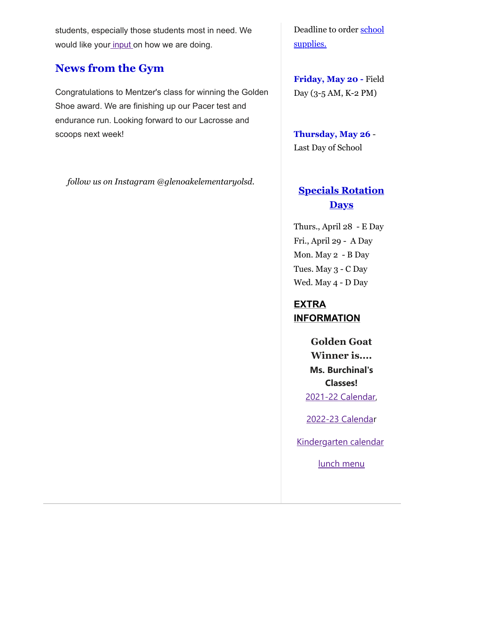students, especially those students most in need. We would like your [input o](https://olsd.az1.qualtrics.com/jfe/form/SV_3k54vBLZ8wNdkvI)n how we are doing.

#### **News from the Gym**

Congratulations to Mentzer's class for winning the Golden Shoe award. We are finishing up our Pacer test and endurance run. Looking forward to our Lacrosse and scoops next week!

*follow us on Instagram @glenoakelementaryolsd.*

[Deadline to order school](https://goes.olentangy.k12.oh.us/default-board-post-page-glen-oak/~board/glen-oak-elementary-news/post/school-supply-kits) supplies.

**Friday, May 20 -** Field Day (3-5 AM, K-2 PM)

**Thursday, May 26** - Last Day of School

## **Specials Rotation Days**

Thurs., April 28 - E Day Fri., April 29 - A Day Mon. May 2 - B Day Tues. May 3 - C Day Wed. May 4 - D Day

**EXTRA INFORMATION**

> **Golden Goat Winner is.... Ms. Burchinal's Classes!** [2021-22 Calendar](https://resources.finalsite.net/images/v1623338803/olentangyk12ohus/sz9j8nno6oh20v3wyps6/2021-2022DistrictCalendarApproved4-23-20_1updated.pdf),

[2022-23 Calenda](https://resources.finalsite.net/images/v1620050549/olentangyk12ohus/qd6qvmokm7y6lk1e4riu/2022-2023OLSDistrictCalendar.pdf)r

[Kindergarten calendar](https://resources.finalsite.net/images/v1610728354/olentangyk12ohus/suvljtjbbcrvefp8t0eg/Kindergarten2021-2022Calendar-FINAL11321.pdf)

[lunch menu](https://www.schoolnutritionandfitness.com/static/greenmenus/1605120015275702/2022/2022/520256-2021-2022_Cycle_Menu_updated_11_-_18-_21_effective_December.pdf)